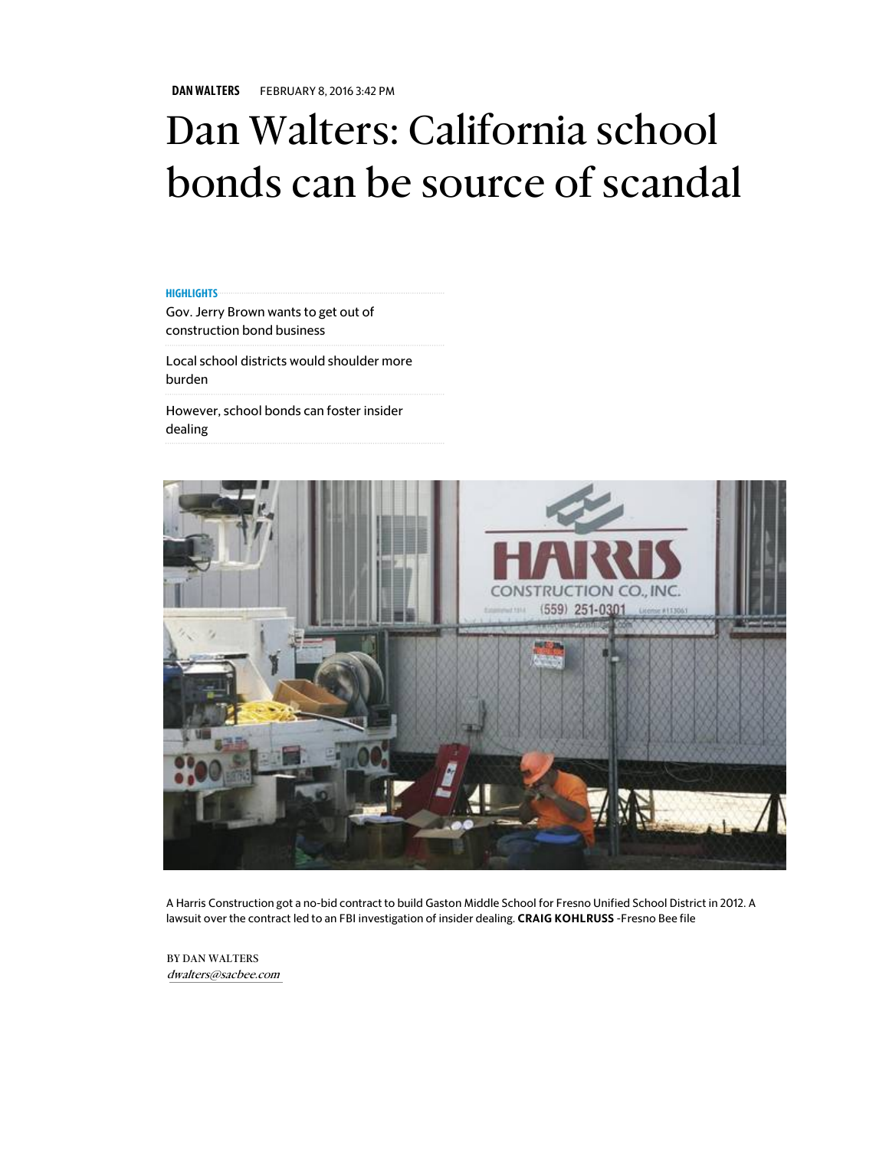DAN WALTERS FEBRUARY 8, 2016 3:42 PM

## Dan Walters: California school bonds can be source of scandal

## **HIGHLIGHTS**

Gov. Jerry Brown wants to get out of construction bond business

Local school districts would shoulder more burden

However, school bonds can foster insider dealing



A Harris Construction got a no-bid contract to build Gaston Middle School for Fresno Unified School District in 2012. A lawsuit over the contract led to an FBI investigation of insider dealing. CRAIG KOHLRUSS -Fresno Bee file

BY DAN WALTERS dwalters@sacbee.com